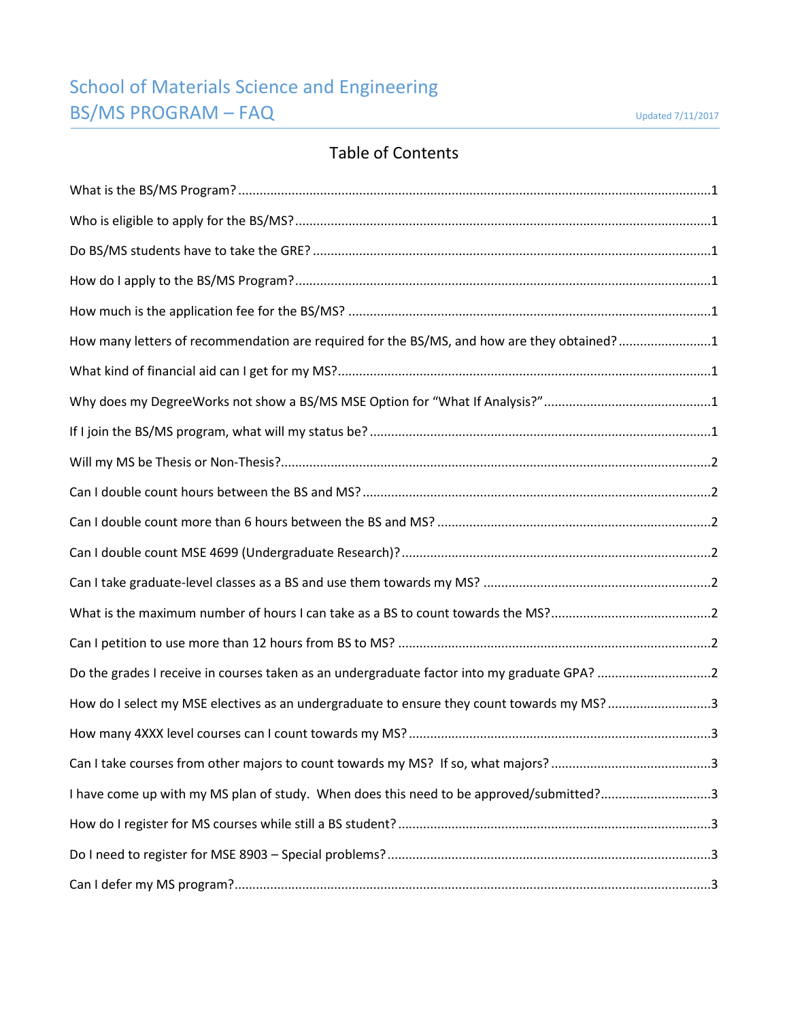# School of Materials Science and Engineering **BS/MS PROGRAM – FAQ** Updated 7/11/2017

## Table of Contents

| How many letters of recommendation are required for the BS/MS, and how are they obtained?1  |  |
|---------------------------------------------------------------------------------------------|--|
|                                                                                             |  |
|                                                                                             |  |
|                                                                                             |  |
|                                                                                             |  |
|                                                                                             |  |
|                                                                                             |  |
|                                                                                             |  |
|                                                                                             |  |
|                                                                                             |  |
|                                                                                             |  |
| Do the grades I receive in courses taken as an undergraduate factor into my graduate GPA? 2 |  |
| How do I select my MSE electives as an undergraduate to ensure they count towards my MS? 3  |  |
|                                                                                             |  |
|                                                                                             |  |
| I have come up with my MS plan of study. When does this need to be approved/submitted?3     |  |
|                                                                                             |  |
|                                                                                             |  |
|                                                                                             |  |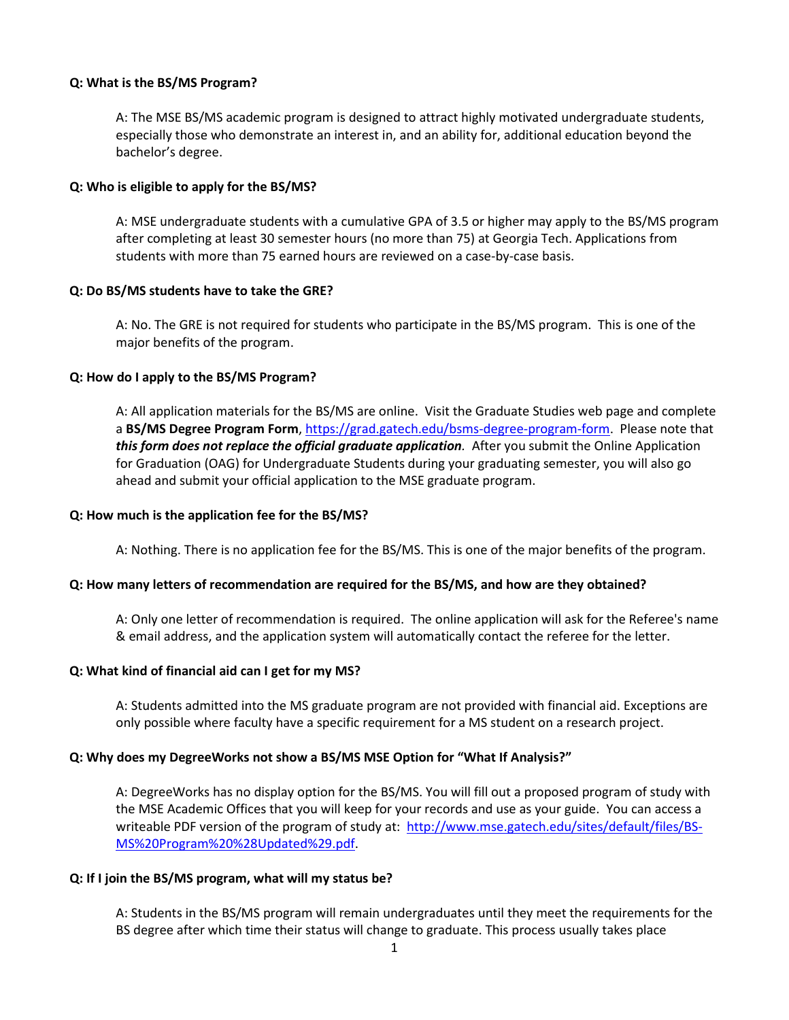## <span id="page-1-0"></span>**Q: What is the BS/MS Program?**

A: The MSE BS/MS academic program is designed to attract highly motivated undergraduate students, especially those who demonstrate an interest in, and an ability for, additional education beyond the bachelor's degree.

## <span id="page-1-1"></span>**Q: Who is eligible to apply for the BS/MS?**

A: MSE undergraduate students with a cumulative GPA of 3.5 or higher may apply to the BS/MS program after completing at least 30 semester hours (no more than 75) at Georgia Tech. Applications from students with more than 75 earned hours are reviewed on a case-by-case basis.

## <span id="page-1-2"></span>**Q: Do BS/MS students have to take the GRE?**

A: No. The GRE is not required for students who participate in the BS/MS program. This is one of the major benefits of the program.

## <span id="page-1-3"></span>**Q: How do I apply to the BS/MS Program?**

A: All application materials for the BS/MS are online. Visit the Graduate Studies web page and complete a **BS/MS Degree Program Form**, [https://grad.gatech.edu/bsms-degree-program-form.](https://grad.gatech.edu/bsms-degree-program-form) Please note that *this form does not replace the official graduate application.* After you submit the Online Application for Graduation (OAG) for Undergraduate Students during your graduating semester, you will also go ahead and submit your official application to the MSE graduate program.

## <span id="page-1-4"></span>**Q: How much is the application fee for the BS/MS?**

A: Nothing. There is no application fee for the BS/MS. This is one of the major benefits of the program.

## <span id="page-1-5"></span>**Q: How many letters of recommendation are required for the BS/MS, and how are they obtained?**

A: Only one letter of recommendation is required. The online application will ask for the Referee's name & email address, and the application system will automatically contact the referee for the letter.

## <span id="page-1-6"></span>**Q: What kind of financial aid can I get for my MS?**

A: Students admitted into the MS graduate program are not provided with financial aid. Exceptions are only possible where faculty have a specific requirement for a MS student on a research project.

## <span id="page-1-7"></span>**Q: Why does my DegreeWorks not show a BS/MS MSE Option for "What If Analysis?"**

A: DegreeWorks has no display option for the BS/MS. You will fill out a proposed program of study with the MSE Academic Offices that you will keep for your records and use as your guide. You can access a writeable PDF version of the program of study at: [http://www.mse.gatech.edu/sites/default/files/BS-](http://www.mse.gatech.edu/sites/default/files/BS-MS%20Program%20%28Updated%29.pdf)[MS%20Program%20%28Updated%29.pdf.](http://www.mse.gatech.edu/sites/default/files/BS-MS%20Program%20%28Updated%29.pdf)

## <span id="page-1-8"></span>**Q: If I join the BS/MS program, what will my status be?**

A: Students in the BS/MS program will remain undergraduates until they meet the requirements for the BS degree after which time their status will change to graduate. This process usually takes place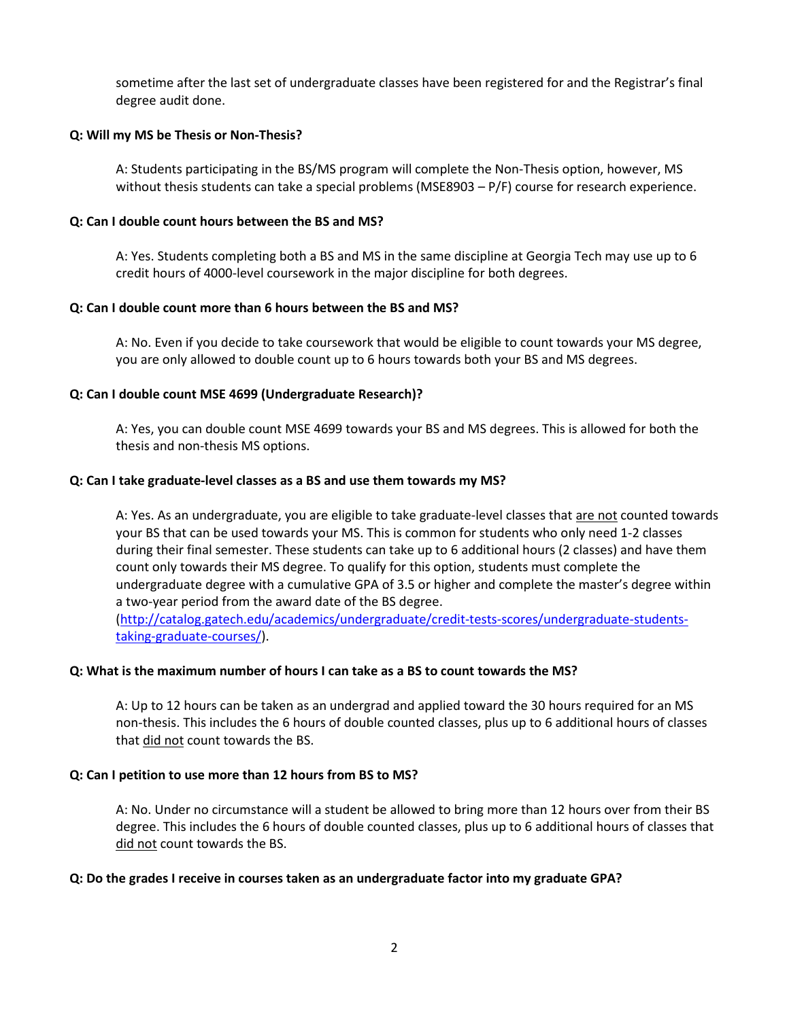sometime after the last set of undergraduate classes have been registered for and the Registrar's final degree audit done.

## <span id="page-2-0"></span>**Q: Will my MS be Thesis or Non-Thesis?**

A: Students participating in the BS/MS program will complete the Non-Thesis option, however, MS without thesis students can take a special problems (MSE8903 – P/F) course for research experience.

## <span id="page-2-1"></span>**Q: Can I double count hours between the BS and MS?**

A: Yes. Students completing both a BS and MS in the same discipline at Georgia Tech may use up to 6 credit hours of 4000-level coursework in the major discipline for both degrees.

## <span id="page-2-2"></span>**Q: Can I double count more than 6 hours between the BS and MS?**

A: No. Even if you decide to take coursework that would be eligible to count towards your MS degree, you are only allowed to double count up to 6 hours towards both your BS and MS degrees.

## <span id="page-2-3"></span>**Q: Can I double count MSE 4699 (Undergraduate Research)?**

A: Yes, you can double count MSE 4699 towards your BS and MS degrees. This is allowed for both the thesis and non-thesis MS options.

## <span id="page-2-4"></span>**Q: Can I take graduate-level classes as a BS and use them towards my MS?**

A: Yes. As an undergraduate, you are eligible to take graduate-level classes that are not counted towards your BS that can be used towards your MS. This is common for students who only need 1-2 classes during their final semester. These students can take up to 6 additional hours (2 classes) and have them count only towards their MS degree. To qualify for this option, students must complete the undergraduate degree with a cumulative GPA of 3.5 or higher and complete the master's degree within a two-year period from the award date of the BS degree.

[\(http://catalog.gatech.edu/academics/undergraduate/credit-tests-scores/undergraduate-students](http://catalog.gatech.edu/academics/undergraduate/credit-tests-scores/undergraduate-students-taking-graduate-courses/)[taking-graduate-courses/\)](http://catalog.gatech.edu/academics/undergraduate/credit-tests-scores/undergraduate-students-taking-graduate-courses/).

## <span id="page-2-5"></span>**Q: What is the maximum number of hours I can take as a BS to count towards the MS?**

A: Up to 12 hours can be taken as an undergrad and applied toward the 30 hours required for an MS non-thesis. This includes the 6 hours of double counted classes, plus up to 6 additional hours of classes that did not count towards the BS.

## <span id="page-2-6"></span>**Q: Can I petition to use more than 12 hours from BS to MS?**

A: No. Under no circumstance will a student be allowed to bring more than 12 hours over from their BS degree. This includes the 6 hours of double counted classes, plus up to 6 additional hours of classes that did not count towards the BS.

## <span id="page-2-7"></span>**Q: Do the grades I receive in courses taken as an undergraduate factor into my graduate GPA?**